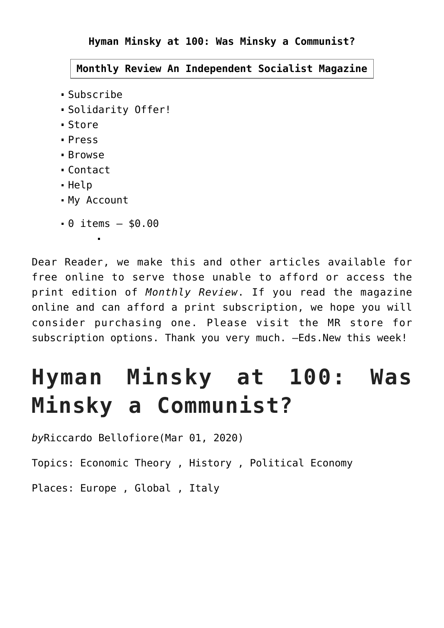**Hyman Minsky at 100: Was Minsky a Communist?**

**[Monthly Review](https://monthlyreview.org/) An Independent Socialist Magazine**

- [Subscribe](https://monthlyreview.org/subscribe/)
- [Solidarity Offer!](https://monthlyreview.org/organizational-solidarity-offer/)
- [Store](https://monthlyreview.org/store/)
- [Press](https://monthlyreview.org/press/)
- [Browse](https://monthlyreview.org/2020/03/01/hyman-minsky-at-100-was-minsky-a-communist/#)
- [Contact](https://monthlyreview.org/2020/03/01/hyman-minsky-at-100-was-minsky-a-communist/#)
- [Help](https://monthlyreview.org/help/)
- [My Account](https://monthlyreview.org/my-account/)

 $\blacksquare$ 

 $-$  0 items  $-$  \$0.00

Dear Reader, we make this and other articles available for free online to serve those unable to afford or access the print edition of *Monthly Review*. If you read the magazine online and can afford a print subscription, we hope you will consider purchasing one. [Please visit the MR store for](https://monthlyreview.org/press/subscriptions/) [subscription options](https://monthlyreview.org/press/subscriptions/). Thank you very much. —Eds.New this week!

# **Hyman Minsky at 100: Was Minsky a Communist?**

*by*[Riccardo Bellofiore](https://monthlyreview.org/author/riccardobellofiore/)(Mar 01, 2020)

Topics: [Economic Theory](https://monthlyreview.org/subjects/economic-theory/) , [History](https://monthlyreview.org/subjects/history/) , [Political Economy](https://monthlyreview.org/subjects/political-economy/)

Places: [Europe](https://monthlyreview.org/geography/europe/) , [Global](https://monthlyreview.org/geography/global/) , [Italy](https://monthlyreview.org/geography/europe/italy/)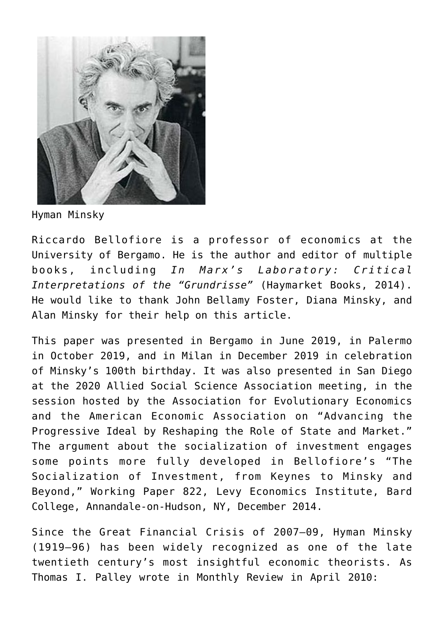

Hyman Minsky

Riccardo Bellofiore is a professor of economics at the University of Bergamo. He is the author and editor of multiple books, including *In Marx's Laboratory: Critical Interpretations of the "Grundrisse"* (Haymarket Books, 2014). He would like to thank John Bellamy Foster, Diana Minsky, and Alan Minsky for their help on this article.

This paper was presented in Bergamo in June 2019, in Palermo in October 2019, and in Milan in December 2019 in celebration of Minsky's 100th birthday. It was also presented in San Diego at the 2020 Allied Social Science Association meeting, in the session hosted by the Association for Evolutionary Economics and the American Economic Association on "Advancing the Progressive Ideal by Reshaping the Role of State and Market." The argument about the socialization of investment engages some points more fully developed in Bellofiore's "The Socialization of Investment, from Keynes to Minsky and Beyond," Working Paper 822, Levy Economics Institute, Bard College, Annandale-on-Hudson, NY, December 2014.

Since the Great Financial Crisis of 2007–09, Hyman Minsky (1919–96) has been widely recognized as one of the late twentieth century's most insightful economic theorists. As Thomas I. Palley wrote in Monthly Review in April 2010: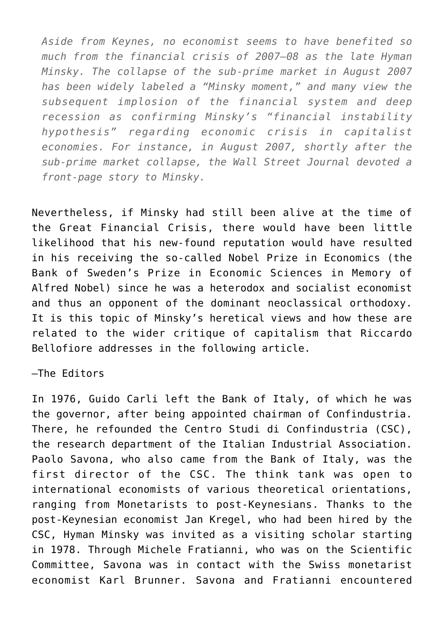*Aside from Keynes, no economist seems to have benefited so much from the financial crisis of 2007–08 as the late Hyman Minsky. The collapse of the sub-prime market in August 2007 has been widely labeled a "Minsky moment," and many view the subsequent implosion of the financial system and deep recession as confirming Minsky's "financial instability hypothesis" regarding economic crisis in capitalist economies. For instance, in August 2007, shortly after the sub-prime market collapse, the Wall Street Journal devoted a front-page story to Minsky.*

Nevertheless, if Minsky had still been alive at the time of the Great Financial Crisis, there would have been little likelihood that his new-found reputation would have resulted in his receiving the so-called Nobel Prize in Economics (the Bank of Sweden's Prize in Economic Sciences in Memory of Alfred Nobel) since he was a heterodox and socialist economist and thus an opponent of the dominant neoclassical orthodoxy. It is this topic of Minsky's heretical views and how these are related to the wider critique of capitalism that Riccardo Bellofiore addresses in the following article.

—The Editors

In 1976, Guido Carli left the Bank of Italy, of which he was the governor, after being appointed chairman of Confindustria. There, he refounded the Centro Studi di Confindustria (CSC), the research department of the Italian Industrial Association. Paolo Savona, who also came from the Bank of Italy, was the first director of the CSC. The think tank was open to international economists of various theoretical orientations, ranging from Monetarists to post-Keynesians. Thanks to the post-Keynesian economist Jan Kregel, who had been hired by the CSC, Hyman Minsky was invited as a visiting scholar starting in 1978. Through Michele Fratianni, who was on the Scientific Committee, Savona was in contact with the Swiss monetarist economist Karl Brunner. Savona and Fratianni encountered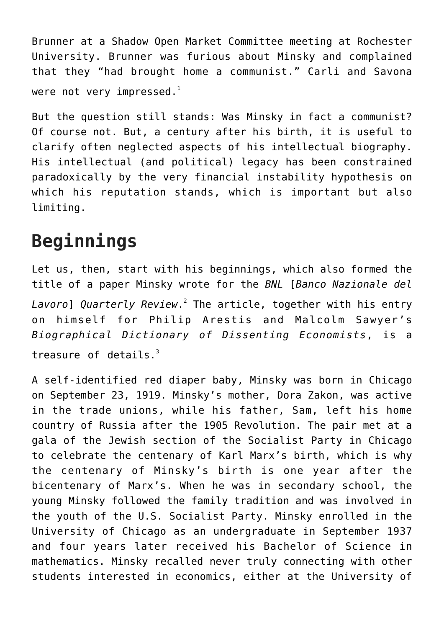Brunner at a Shadow Open Market Committee meeting at Rochester University. Brunner was furious about Minsky and complained that they "had brought home a communist." Carli and Savona were not very impressed. $<sup>1</sup>$  $<sup>1</sup>$  $<sup>1</sup>$ </sup>

But the question still stands: Was Minsky in fact a communist? Of course not. But, a century after his birth, it is useful to clarify often neglected aspects of his intellectual biography. His intellectual (and political) legacy has been constrained paradoxically by the very financial instability hypothesis on which his reputation stands, which is important but also limiting.

### **Beginnings**

Let us, then, start with his beginnings, which also formed the title of a paper Minsky wrote for the *BNL* [*Banco Nazionale del Lavoro*] *Quarterly Review*. [2](https://monthlyreview.org/2020/03/01/hyman-minsky-at-100-was-minsky-a-communist/#en2) The article, together with his entry on himself for Philip Arestis and Malcolm Sawyer's *Biographical Dictionary of Dissenting Economists*, is a treasure of details. $3$ 

A self-identified red diaper baby, Minsky was born in Chicago on September 23, 1919. Minsky's mother, Dora Zakon, was active in the trade unions, while his father, Sam, left his home country of Russia after the 1905 Revolution. The pair met at a gala of the Jewish section of the Socialist Party in Chicago to celebrate the centenary of Karl Marx's birth, which is why the centenary of Minsky's birth is one year after the bicentenary of Marx's. When he was in secondary school, the young Minsky followed the family tradition and was involved in the youth of the U.S. Socialist Party. Minsky enrolled in the University of Chicago as an undergraduate in September 1937 and four years later received his Bachelor of Science in mathematics. Minsky recalled never truly connecting with other students interested in economics, either at the University of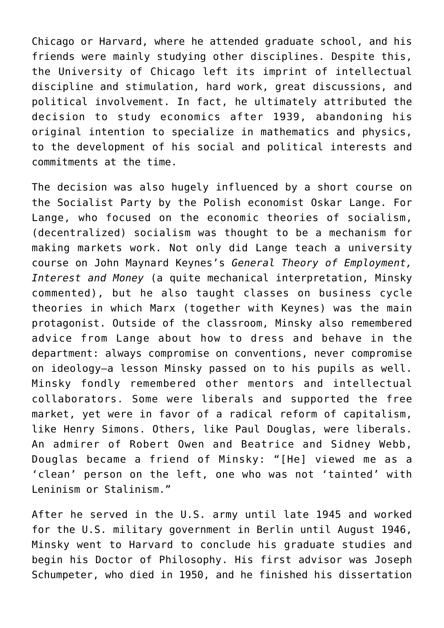Chicago or Harvard, where he attended graduate school, and his friends were mainly studying other disciplines. Despite this, the University of Chicago left its imprint of intellectual discipline and stimulation, hard work, great discussions, and political involvement. In fact, he ultimately attributed the decision to study economics after 1939, abandoning his original intention to specialize in mathematics and physics, to the development of his social and political interests and commitments at the time.

The decision was also hugely influenced by a short course on the Socialist Party by the Polish economist Oskar Lange. For Lange, who focused on the economic theories of socialism, (decentralized) socialism was thought to be a mechanism for making markets work. Not only did Lange teach a university course on John Maynard Keynes's *General Theory of Employment, Interest and Money* (a quite mechanical interpretation, Minsky commented), but he also taught classes on business cycle theories in which Marx (together with Keynes) was the main protagonist. Outside of the classroom, Minsky also remembered advice from Lange about how to dress and behave in the department: always compromise on conventions, never compromise on ideology—a lesson Minsky passed on to his pupils as well. Minsky fondly remembered other mentors and intellectual collaborators. Some were liberals and supported the free market, yet were in favor of a radical reform of capitalism, like Henry Simons. Others, like Paul Douglas, were liberals. An admirer of Robert Owen and Beatrice and Sidney Webb, Douglas became a friend of Minsky: "[He] viewed me as a 'clean' person on the left, one who was not 'tainted' with Leninism or Stalinism."

After he served in the U.S. army until late 1945 and worked for the U.S. military government in Berlin until August 1946, Minsky went to Harvard to conclude his graduate studies and begin his Doctor of Philosophy. His first advisor was Joseph Schumpeter, who died in 1950, and he finished his dissertation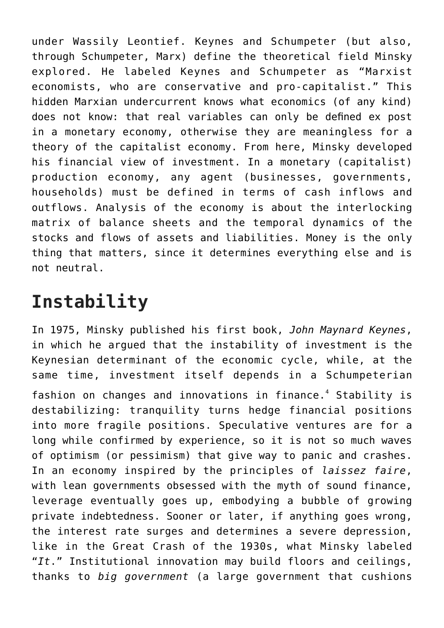under Wassily Leontief. Keynes and Schumpeter (but also, through Schumpeter, Marx) define the theoretical field Minsky explored. He labeled Keynes and Schumpeter as "Marxist economists, who are conservative and pro-capitalist." This hidden Marxian undercurrent knows what economics (of any kind) does not know: that real variables can only be defined ex post in a monetary economy, otherwise they are meaningless for a theory of the capitalist economy. From here, Minsky developed his financial view of investment. In a monetary (capitalist) production economy, any agent (businesses, governments, households) must be defined in terms of cash inflows and outflows. Analysis of the economy is about the interlocking matrix of balance sheets and the temporal dynamics of the stocks and flows of assets and liabilities. Money is the only thing that matters, since it determines everything else and is not neutral.

# **Instability**

In 1975, Minsky published his first book, *John Maynard Keynes*, in which he argued that the instability of investment is the Keynesian determinant of the economic cycle, while, at the same time, investment itself depends in a Schumpeterian fashion on changes and innovations in finance.<sup>[4](https://monthlyreview.org/2020/03/01/hyman-minsky-at-100-was-minsky-a-communist/#en4)</sup> Stability is destabilizing: tranquility turns hedge financial positions into more fragile positions. Speculative ventures are for a long while confirmed by experience, so it is not so much waves of optimism (or pessimism) that give way to panic and crashes. In an economy inspired by the principles of *laissez faire*, with lean governments obsessed with the myth of sound finance, leverage eventually goes up, embodying a bubble of growing private indebtedness. Sooner or later, if anything goes wrong, the interest rate surges and determines a severe depression, like in the Great Crash of the 1930s, what Minsky labeled "*It*." Institutional innovation may build floors and ceilings,

thanks to *big government* (a large government that cushions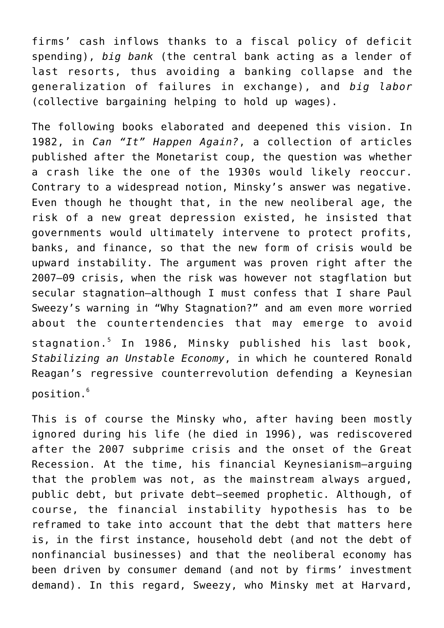firms' cash inflows thanks to a fiscal policy of deficit spending), *big bank* (the central bank acting as a lender of last resorts, thus avoiding a banking collapse and the generalization of failures in exchange), and *big labor* (collective bargaining helping to hold up wages).

The following books elaborated and deepened this vision. In 1982, in *Can "It" Happen Again?*, a collection of articles published after the Monetarist coup, the question was whether a crash like the one of the 1930s would likely reoccur. Contrary to a widespread notion, Minsky's answer was negative. Even though he thought that, in the new neoliberal age, the risk of a new great depression existed, he insisted that governments would ultimately intervene to protect profits, banks, and finance, so that the new form of crisis would be upward instability. The argument was proven right after the 2007–09 crisis, when the risk was however not stagflation but secular stagnation—although I must confess that I share Paul Sweezy's warning in "Why Stagnation?" and am even more worried about the countertendencies that may emerge to avoid stagnation.[5](https://monthlyreview.org/2020/03/01/hyman-minsky-at-100-was-minsky-a-communist/#en5) In 1986, Minsky published his last book, *Stabilizing an Unstable Economy*, in which he countered Ronald Reagan's regressive counterrevolution defending a Keynesian position.[6](https://monthlyreview.org/2020/03/01/hyman-minsky-at-100-was-minsky-a-communist/#en6)

This is of course the Minsky who, after having been mostly ignored during his life (he died in 1996), was rediscovered after the 2007 subprime crisis and the onset of the Great Recession. At the time, his financial Keynesianism—arguing that the problem was not, as the mainstream always argued, public debt, but private debt—seemed prophetic. Although, of course, the financial instability hypothesis has to be reframed to take into account that the debt that matters here is, in the first instance, household debt (and not the debt of nonfinancial businesses) and that the neoliberal economy has been driven by consumer demand (and not by firms' investment demand). In this regard, Sweezy, who Minsky met at Harvard,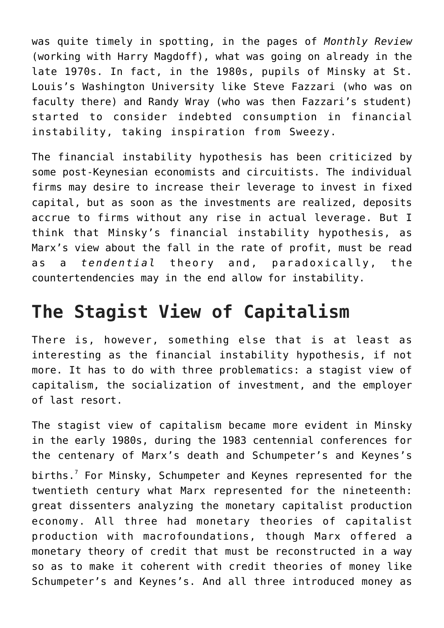was quite timely in spotting, in the pages of *Monthly Review* (working with Harry Magdoff), what was going on already in the late 1970s. In fact, in the 1980s, pupils of Minsky at St. Louis's Washington University like Steve Fazzari (who was on faculty there) and Randy Wray (who was then Fazzari's student) started to consider indebted consumption in financial instability, taking inspiration from Sweezy.

The financial instability hypothesis has been criticized by some post-Keynesian economists and circuitists. The individual firms may desire to increase their leverage to invest in fixed capital, but as soon as the investments are realized, deposits accrue to firms without any rise in actual leverage. But I think that Minsky's financial instability hypothesis, as Marx's view about the fall in the rate of profit, must be read as a *tendential* theory and, paradoxically, the countertendencies may in the end allow for instability.

# **The Stagist View of Capitalism**

There is, however, something else that is at least as interesting as the financial instability hypothesis, if not more. It has to do with three problematics: a stagist view of capitalism, the socialization of investment, and the employer of last resort.

The stagist view of capitalism became more evident in Minsky in the early 1980s, during the 1983 centennial conferences for the centenary of Marx's death and Schumpeter's and Keynes's births.<sup>[7](https://monthlyreview.org/2020/03/01/hyman-minsky-at-100-was-minsky-a-communist/#en7)</sup> For Minsky, Schumpeter and Keynes represented for the twentieth century what Marx represented for the nineteenth: great dissenters analyzing the monetary capitalist production economy. All three had monetary theories of capitalist production with macrofoundations, though Marx offered a monetary theory of credit that must be reconstructed in a way so as to make it coherent with credit theories of money like Schumpeter's and Keynes's. And all three introduced money as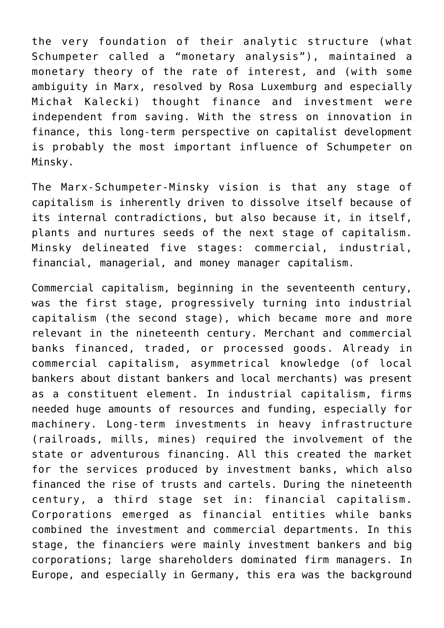the very foundation of their analytic structure (what Schumpeter called a "monetary analysis"), maintained a monetary theory of the rate of interest, and (with some ambiguity in Marx, resolved by Rosa Luxemburg and especially Michał Kalecki) thought finance and investment were independent from saving. With the stress on innovation in finance, this long-term perspective on capitalist development is probably the most important influence of Schumpeter on Minsky.

The Marx-Schumpeter-Minsky vision is that any stage of capitalism is inherently driven to dissolve itself because of its internal contradictions, but also because it, in itself, plants and nurtures seeds of the next stage of capitalism. Minsky delineated five stages: commercial, industrial, financial, managerial, and money manager capitalism.

Commercial capitalism, beginning in the seventeenth century, was the first stage, progressively turning into industrial capitalism (the second stage), which became more and more relevant in the nineteenth century. Merchant and commercial banks financed, traded, or processed goods. Already in commercial capitalism, asymmetrical knowledge (of local bankers about distant bankers and local merchants) was present as a constituent element. In industrial capitalism, firms needed huge amounts of resources and funding, especially for machinery. Long-term investments in heavy infrastructure (railroads, mills, mines) required the involvement of the state or adventurous financing. All this created the market for the services produced by investment banks, which also financed the rise of trusts and cartels. During the nineteenth century, a third stage set in: financial capitalism. Corporations emerged as financial entities while banks combined the investment and commercial departments. In this stage, the financiers were mainly investment bankers and big corporations; large shareholders dominated firm managers. In Europe, and especially in Germany, this era was the background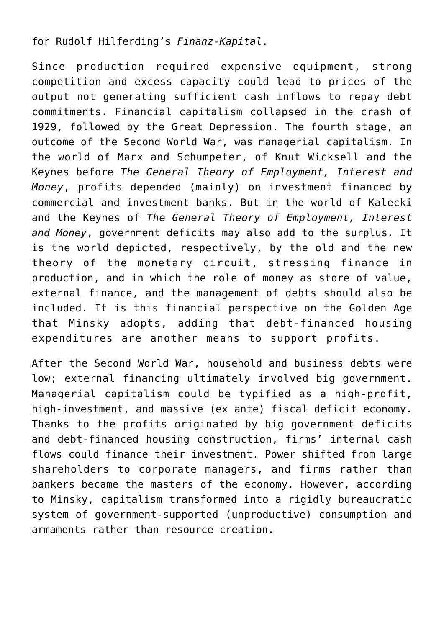for Rudolf Hilferding's *Finanz-Kapital*.

Since production required expensive equipment, strong competition and excess capacity could lead to prices of the output not generating sufficient cash inflows to repay debt commitments. Financial capitalism collapsed in the crash of 1929, followed by the Great Depression. The fourth stage, an outcome of the Second World War, was managerial capitalism. In the world of Marx and Schumpeter, of Knut Wicksell and the Keynes before *The General Theory of Employment, Interest and Money*, profits depended (mainly) on investment financed by commercial and investment banks. But in the world of Kalecki and the Keynes of *The General Theory of Employment, Interest and Money*, government deficits may also add to the surplus. It is the world depicted, respectively, by the old and the new theory of the monetary circuit, stressing finance in production, and in which the role of money as store of value, external finance, and the management of debts should also be included. It is this financial perspective on the Golden Age that Minsky adopts, adding that debt-financed housing expenditures are another means to support profits.

After the Second World War, household and business debts were low; external financing ultimately involved big government. Managerial capitalism could be typified as a high-profit, high-investment, and massive (ex ante) fiscal deficit economy. Thanks to the profits originated by big government deficits and debt-financed housing construction, firms' internal cash flows could finance their investment. Power shifted from large shareholders to corporate managers, and firms rather than bankers became the masters of the economy. However, according to Minsky, capitalism transformed into a rigidly bureaucratic system of government-supported (unproductive) consumption and armaments rather than resource creation.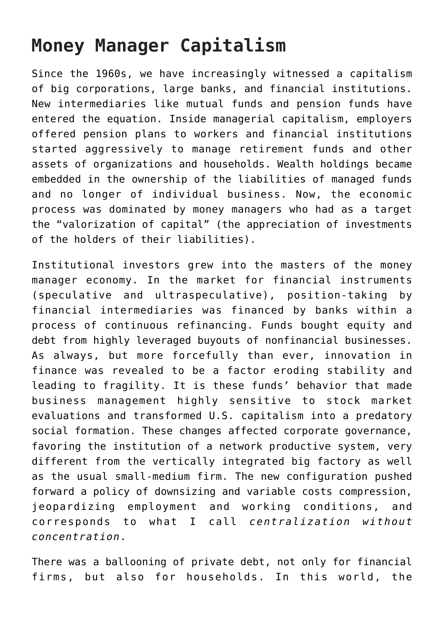# **Money Manager Capitalism**

Since the 1960s, we have increasingly witnessed a capitalism of big corporations, large banks, and financial institutions. New intermediaries like mutual funds and pension funds have entered the equation. Inside managerial capitalism, employers offered pension plans to workers and financial institutions started aggressively to manage retirement funds and other assets of organizations and households. Wealth holdings became embedded in the ownership of the liabilities of managed funds and no longer of individual business. Now, the economic process was dominated by money managers who had as a target the "valorization of capital" (the appreciation of investments of the holders of their liabilities).

Institutional investors grew into the masters of the money manager economy. In the market for financial instruments (speculative and ultraspeculative), position-taking by financial intermediaries was financed by banks within a process of continuous refinancing. Funds bought equity and debt from highly leveraged buyouts of nonfinancial businesses. As always, but more forcefully than ever, innovation in finance was revealed to be a factor eroding stability and leading to fragility. It is these funds' behavior that made business management highly sensitive to stock market evaluations and transformed U.S. capitalism into a predatory social formation. These changes affected corporate governance, favoring the institution of a network productive system, very different from the vertically integrated big factory as well as the usual small-medium firm. The new configuration pushed forward a policy of downsizing and variable costs compression, jeopardizing employment and working conditions, and corresponds to what I call *centralization without concentration*.

There was a ballooning of private debt, not only for financial firms, but also for households. In this world, the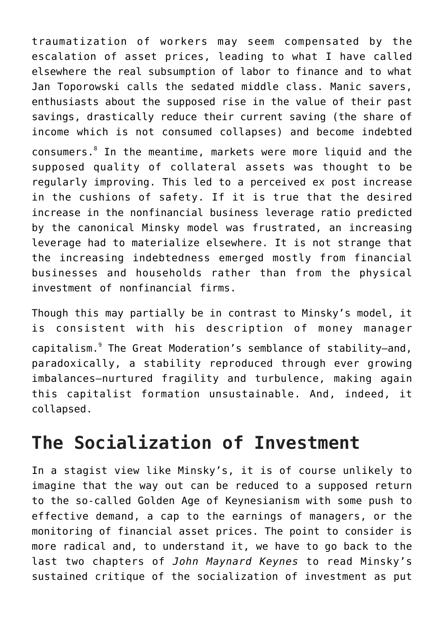traumatization of workers may seem compensated by the escalation of asset prices, leading to what I have called elsewhere the real subsumption of labor to finance and to what Jan Toporowski calls the sedated middle class. Manic savers, enthusiasts about the supposed rise in the value of their past savings, drastically reduce their current saving (the share of income which is not consumed collapses) and become indebted consumers.<sup>[8](https://monthlyreview.org/2020/03/01/hyman-minsky-at-100-was-minsky-a-communist/#en8)</sup> In the meantime, markets were more liquid and the supposed quality of collateral assets was thought to be regularly improving. This led to a perceived ex post increase in the cushions of safety. If it is true that the desired increase in the nonfinancial business leverage ratio predicted by the canonical Minsky model was frustrated, an increasing leverage had to materialize elsewhere. It is not strange that the increasing indebtedness emerged mostly from financial businesses and households rather than from the physical investment of nonfinancial firms.

Though this may partially be in contrast to Minsky's model, it is consistent with his description of money manager capitalism.<sup>[9](https://monthlyreview.org/2020/03/01/hyman-minsky-at-100-was-minsky-a-communist/#en9)</sup> The Great Moderation's semblance of stability-and, paradoxically, a stability reproduced through ever growing imbalances—nurtured fragility and turbulence, making again this capitalist formation unsustainable. And, indeed, it collapsed.

# **The Socialization of Investment**

In a stagist view like Minsky's, it is of course unlikely to imagine that the way out can be reduced to a supposed return to the so-called Golden Age of Keynesianism with some push to effective demand, a cap to the earnings of managers, or the monitoring of financial asset prices. The point to consider is more radical and, to understand it, we have to go back to the last two chapters of *John Maynard Keynes* to read Minsky's sustained critique of the socialization of investment as put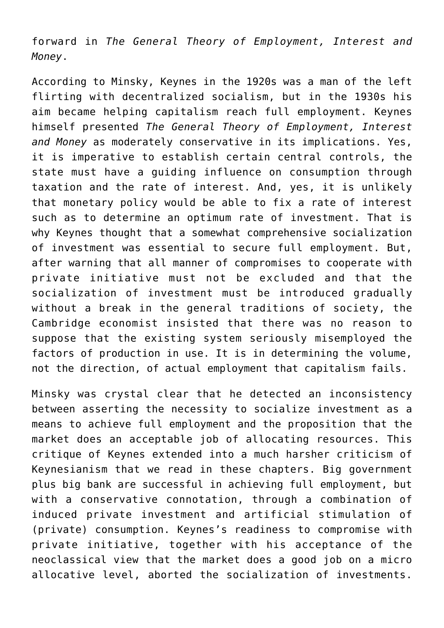forward in *The General Theory of Employment, Interest and Money*.

According to Minsky, Keynes in the 1920s was a man of the left flirting with decentralized socialism, but in the 1930s his aim became helping capitalism reach full employment. Keynes himself presented *The General Theory of Employment, Interest and Money* as moderately conservative in its implications. Yes, it is imperative to establish certain central controls, the state must have a guiding influence on consumption through taxation and the rate of interest. And, yes, it is unlikely that monetary policy would be able to fix a rate of interest such as to determine an optimum rate of investment. That is why Keynes thought that a somewhat comprehensive socialization of investment was essential to secure full employment. But, after warning that all manner of compromises to cooperate with private initiative must not be excluded and that the socialization of investment must be introduced gradually without a break in the general traditions of society, the Cambridge economist insisted that there was no reason to suppose that the existing system seriously misemployed the factors of production in use. It is in determining the volume, not the direction, of actual employment that capitalism fails.

Minsky was crystal clear that he detected an inconsistency between asserting the necessity to socialize investment as a means to achieve full employment and the proposition that the market does an acceptable job of allocating resources. This critique of Keynes extended into a much harsher criticism of Keynesianism that we read in these chapters. Big government plus big bank are successful in achieving full employment, but with a conservative connotation, through a combination of induced private investment and artificial stimulation of (private) consumption. Keynes's readiness to compromise with private initiative, together with his acceptance of the neoclassical view that the market does a good job on a micro allocative level, aborted the socialization of investments.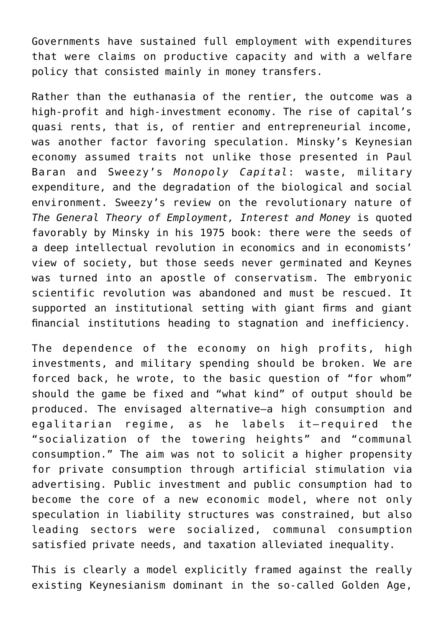Governments have sustained full employment with expenditures that were claims on productive capacity and with a welfare policy that consisted mainly in money transfers.

Rather than the euthanasia of the rentier, the outcome was a high-profit and high-investment economy. The rise of capital's quasi rents, that is, of rentier and entrepreneurial income, was another factor favoring speculation. Minsky's Keynesian economy assumed traits not unlike those presented in Paul Baran and Sweezy's *Monopoly Capital*: waste, military expenditure, and the degradation of the biological and social environment. Sweezy's review on the revolutionary nature of *The General Theory of Employment, Interest and Money* is quoted favorably by Minsky in his 1975 book: there were the seeds of a deep intellectual revolution in economics and in economists' view of society, but those seeds never germinated and Keynes was turned into an apostle of conservatism. The embryonic scientific revolution was abandoned and must be rescued. It supported an institutional setting with giant firms and giant financial institutions heading to stagnation and inefficiency.

The dependence of the economy on high profits, high investments, and military spending should be broken. We are forced back, he wrote, to the basic question of "for whom" should the game be fixed and "what kind" of output should be produced. The envisaged alternative—a high consumption and egalitarian regime, as he labels it—required the "socialization of the towering heights" and "communal consumption." The aim was not to solicit a higher propensity for private consumption through artificial stimulation via advertising. Public investment and public consumption had to become the core of a new economic model, where not only speculation in liability structures was constrained, but also leading sectors were socialized, communal consumption satisfied private needs, and taxation alleviated inequality.

This is clearly a model explicitly framed against the really existing Keynesianism dominant in the so-called Golden Age,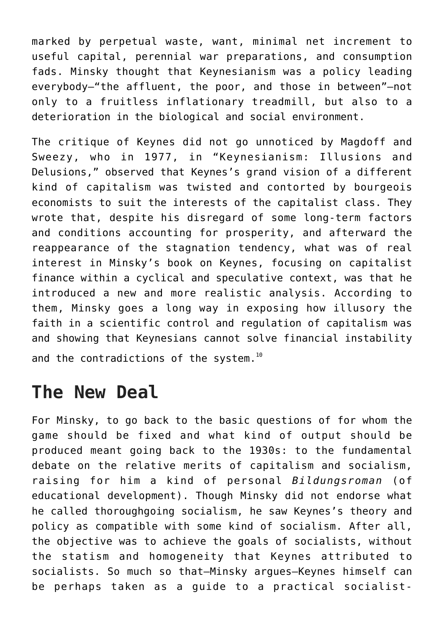marked by perpetual waste, want, minimal net increment to useful capital, perennial war preparations, and consumption fads. Minsky thought that Keynesianism was a policy leading everybody—"the affluent, the poor, and those in between"—not only to a fruitless inflationary treadmill, but also to a deterioration in the biological and social environment.

The critique of Keynes did not go unnoticed by Magdoff and Sweezy, who in 1977, in "Keynesianism: Illusions and Delusions," observed that Keynes's grand vision of a different kind of capitalism was twisted and contorted by bourgeois economists to suit the interests of the capitalist class. They wrote that, despite his disregard of some long-term factors and conditions accounting for prosperity, and afterward the reappearance of the stagnation tendency, what was of real interest in Minsky's book on Keynes, focusing on capitalist finance within a cyclical and speculative context, was that he introduced a new and more realistic analysis. According to them, Minsky goes a long way in exposing how illusory the faith in a scientific control and regulation of capitalism was and showing that Keynesians cannot solve financial instability and the contradictions of the system.<sup>[10](https://monthlyreview.org/2020/03/01/hyman-minsky-at-100-was-minsky-a-communist/#en10)</sup>

#### **The New Deal**

For Minsky, to go back to the basic questions of for whom the game should be fixed and what kind of output should be produced meant going back to the 1930s: to the fundamental debate on the relative merits of capitalism and socialism, raising for him a kind of personal *Bildungsroman* (of educational development). Though Minsky did not endorse what he called thoroughgoing socialism, he saw Keynes's theory and policy as compatible with some kind of socialism. After all, the objective was to achieve the goals of socialists, without the statism and homogeneity that Keynes attributed to socialists. So much so that—Minsky argues—Keynes himself can be perhaps taken as a guide to a practical socialist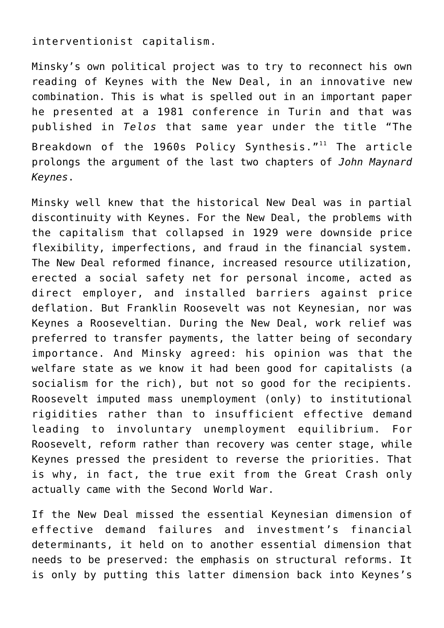interventionist capitalism.

Minsky's own political project was to try to reconnect his own reading of Keynes with the New Deal, in an innovative new combination. This is what is spelled out in an important paper he presented at a 1981 conference in Turin and that was published in *Telos* that same year under the title "The Breakdown of the  $1960s$  Policy Synthesis."<sup>11</sup> The article prolongs the argument of the last two chapters of *John Maynard Keynes*.

Minsky well knew that the historical New Deal was in partial discontinuity with Keynes. For the New Deal, the problems with the capitalism that collapsed in 1929 were downside price flexibility, imperfections, and fraud in the financial system. The New Deal reformed finance, increased resource utilization, erected a social safety net for personal income, acted as direct employer, and installed barriers against price deflation. But Franklin Roosevelt was not Keynesian, nor was Keynes a Rooseveltian. During the New Deal, work relief was preferred to transfer payments, the latter being of secondary importance. And Minsky agreed: his opinion was that the welfare state as we know it had been good for capitalists (a socialism for the rich), but not so good for the recipients. Roosevelt imputed mass unemployment (only) to institutional rigidities rather than to insufficient effective demand leading to involuntary unemployment equilibrium. For Roosevelt, reform rather than recovery was center stage, while Keynes pressed the president to reverse the priorities. That is why, in fact, the true exit from the Great Crash only actually came with the Second World War.

If the New Deal missed the essential Keynesian dimension of effective demand failures and investment's financial determinants, it held on to another essential dimension that needs to be preserved: the emphasis on structural reforms. It is only by putting this latter dimension back into Keynes's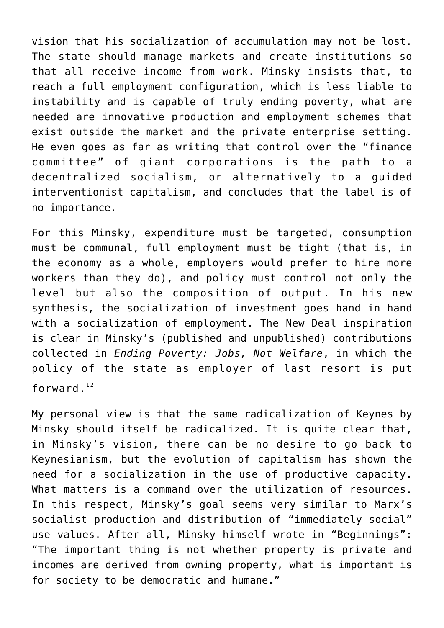vision that his socialization of accumulation may not be lost. The state should manage markets and create institutions so that all receive income from work. Minsky insists that, to reach a full employment configuration, which is less liable to instability and is capable of truly ending poverty, what are needed are innovative production and employment schemes that exist outside the market and the private enterprise setting. He even goes as far as writing that control over the "finance committee" of giant corporations is the path to a decentralized socialism, or alternatively to a guided interventionist capitalism, and concludes that the label is of no importance.

For this Minsky, expenditure must be targeted, consumption must be communal, full employment must be tight (that is, in the economy as a whole, employers would prefer to hire more workers than they do), and policy must control not only the level but also the composition of output. In his new synthesis, the socialization of investment goes hand in hand with a socialization of employment. The New Deal inspiration is clear in Minsky's (published and unpublished) contributions collected in *Ending Poverty: Jobs, Not Welfare*, in which the policy of the state as employer of last resort is put forward. $12$ 

My personal view is that the same radicalization of Keynes by Minsky should itself be radicalized. It is quite clear that, in Minsky's vision, there can be no desire to go back to Keynesianism, but the evolution of capitalism has shown the need for a socialization in the use of productive capacity. What matters is a command over the utilization of resources. In this respect, Minsky's goal seems very similar to Marx's socialist production and distribution of "immediately social" use values. After all, Minsky himself wrote in "Beginnings": "The important thing is not whether property is private and incomes are derived from owning property, what is important is for society to be democratic and humane."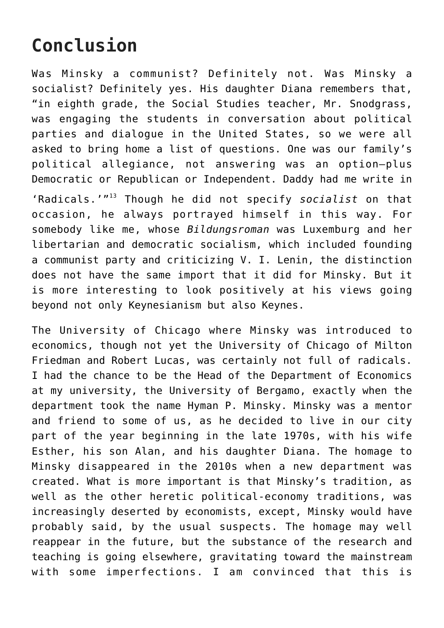# **Conclusion**

Was Minsky a communist? Definitely not. Was Minsky a socialist? Definitely yes. His daughter Diana remembers that, "in eighth grade, the Social Studies teacher, Mr. Snodgrass, was engaging the students in conversation about political parties and dialogue in the United States, so we were all asked to bring home a list of questions. One was our family's political allegiance, not answering was an option—plus Democratic or Republican or Independent. Daddy had me write in

'Radicals.'"[13](https://monthlyreview.org/2020/03/01/hyman-minsky-at-100-was-minsky-a-communist/#en13) Though he did not specify *socialist* on that occasion, he always portrayed himself in this way. For somebody like me, whose *Bildungsroman* was Luxemburg and her libertarian and democratic socialism, which included founding a communist party and criticizing V. I. Lenin, the distinction does not have the same import that it did for Minsky. But it is more interesting to look positively at his views going beyond not only Keynesianism but also Keynes.

The University of Chicago where Minsky was introduced to economics, though not yet the University of Chicago of Milton Friedman and Robert Lucas, was certainly not full of radicals. I had the chance to be the Head of the Department of Economics at my university, the University of Bergamo, exactly when the department took the name Hyman P. Minsky. Minsky was a mentor and friend to some of us, as he decided to live in our city part of the year beginning in the late 1970s, with his wife Esther, his son Alan, and his daughter Diana. The homage to Minsky disappeared in the 2010s when a new department was created. What is more important is that Minsky's tradition, as well as the other heretic political-economy traditions, was increasingly deserted by economists, except, Minsky would have probably said, by the usual suspects. The homage may well reappear in the future, but the substance of the research and teaching is going elsewhere, gravitating toward the mainstream with some imperfections. I am convinced that this is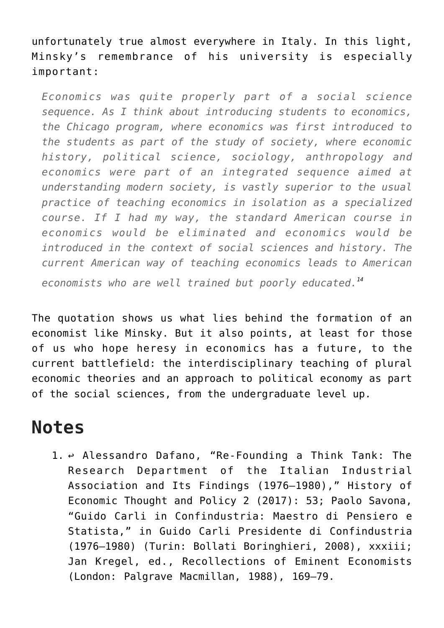unfortunately true almost everywhere in Italy. In this light, Minsky's remembrance of his university is especially important:

*Economics was quite properly part of a social science sequence. As I think about introducing students to economics, the Chicago program, where economics was first introduced to the students as part of the study of society, where economic history, political science, sociology, anthropology and economics were part of an integrated sequence aimed at understanding modern society, is vastly superior to the usual practice of teaching economics in isolation as a specialized course. If I had my way, the standard American course in economics would be eliminated and economics would be introduced in the context of social sciences and history. The current American way of teaching economics leads to American economists who are well trained but poorly educated.[14](https://monthlyreview.org/2020/03/01/hyman-minsky-at-100-was-minsky-a-communist/#en14)*

The quotation shows us what lies behind the formation of an economist like Minsky. But it also points, at least for those of us who hope heresy in economics has a future, to the current battlefield: the interdisciplinary teaching of plural economic theories and an approach to political economy as part of the social sciences, from the undergraduate level up.

#### **Notes**

1. [↩](https://monthlyreview.org/2020/03/01/hyman-minsky-at-100-was-minsky-a-communist/#en1backlink) Alessandro Dafano, "[Re-Founding a Think Tank: The](https://doi.org/10.3280/SPE2017-002003) [Research Department of the Italian Industrial](https://doi.org/10.3280/SPE2017-002003) [Association and Its Findings \(1976–1980\),](https://doi.org/10.3280/SPE2017-002003)" History of Economic Thought and Policy 2 (2017): 53; Paolo Savona, "Guido Carli in Confindustria: Maestro di Pensiero e Statista," in Guido Carli Presidente di Confindustria (1976–1980) (Turin: Bollati Boringhieri, 2008), xxxiii; Jan Kregel, ed., Recollections of Eminent Economists (London: Palgrave Macmillan, 1988), 169–79.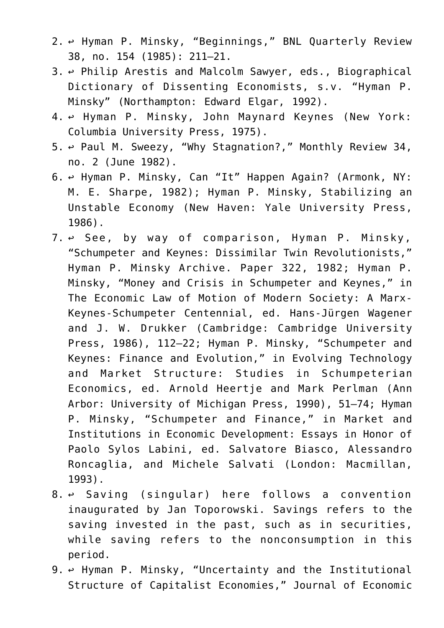- 2. [↩](https://monthlyreview.org/2020/03/01/hyman-minsky-at-100-was-minsky-a-communist/#en2backlink) Hyman P. Minsky, "Beginnings," BNL Quarterly Review 38, no. 154 (1985): 211–21.
- 3. [↩](https://monthlyreview.org/2020/03/01/hyman-minsky-at-100-was-minsky-a-communist/#en3backlink) Philip Arestis and Malcolm Sawyer, eds., Biographical Dictionary of Dissenting Economists, s.v. "Hyman P. Minsky" (Northampton: Edward Elgar, 1992).
- 4. [↩](https://monthlyreview.org/2020/03/01/hyman-minsky-at-100-was-minsky-a-communist/#en4backlink) Hyman P. Minsky, John Maynard Keynes (New York: Columbia University Press, 1975).
- 5. [↩](https://monthlyreview.org/2020/03/01/hyman-minsky-at-100-was-minsky-a-communist/#en5backlink) Paul M. Sweezy, ["Why Stagnation?,](https://doi.org/10.14452/MR-034-02-1982-06_1)" Monthly Review 34, no. 2 (June 1982).
- 6. [↩](https://monthlyreview.org/2020/03/01/hyman-minsky-at-100-was-minsky-a-communist/#en6backlink) Hyman P. Minsky, Can "It" Happen Again? (Armonk, NY: M. E. Sharpe, 1982); Hyman P. Minsky, Stabilizing an Unstable Economy (New Haven: Yale University Press, 1986).
- $7. \leftrightarrow$  See, by way of comparison, Hyman P. Minsky, ["Schumpeter and Keynes: Dissimilar Twin Revolutionists](http://digitalcommons.bard.edu/hm_archive/322)," Hyman P. Minsky Archive. Paper 322, 1982; Hyman P. Minsky, "Money and Crisis in Schumpeter and Keynes," in The Economic Law of Motion of Modern Society: A Marx-Keynes-Schumpeter Centennial, ed. Hans-Jürgen Wagener and J. W. Drukker (Cambridge: Cambridge University Press, 1986), 112–22; Hyman P. Minsky, "Schumpeter and Keynes: Finance and Evolution," in Evolving Technology and Market Structure: Studies in Schumpeterian Economics, ed. Arnold Heertje and Mark Perlman (Ann Arbor: University of Michigan Press, 1990), 51–74; Hyman P. Minsky, "Schumpeter and Finance," in Market and Institutions in Economic Development: Essays in Honor of Paolo Sylos Labini, ed. Salvatore Biasco, Alessandro Roncaglia, and Michele Salvati (London: Macmillan, 1993).
- $8. \leftrightarrow$  Saving (singular) here follows a convention inaugurated by Jan Toporowski. Savings refers to the saving invested in the past, such as in securities, while saving refers to the nonconsumption in this period.
- 9. [↩](https://monthlyreview.org/2020/03/01/hyman-minsky-at-100-was-minsky-a-communist/#en9backlink) Hyman P. Minsky, "Uncertainty and the Institutional Structure of Capitalist Economies," Journal of Economic